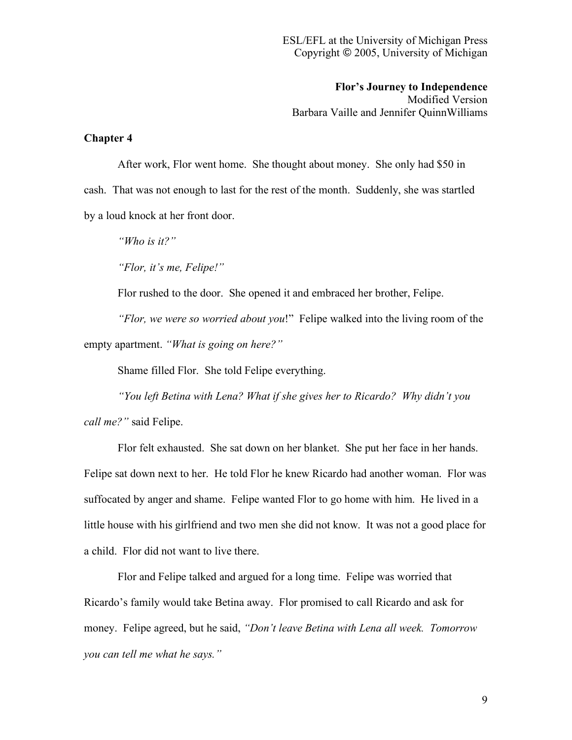**Flor's Journey to Independence** Modified Version Barbara Vaille and Jennifer QuinnWilliams

## **Chapter 4**

After work, Flor went home. She thought about money. She only had \$50 in cash. That was not enough to last for the rest of the month. Suddenly, she was startled by a loud knock at her front door.

*"Who is it?"*

*"Flor, it's me, Felipe!"*

Flor rushed to the door. She opened it and embraced her brother, Felipe.

*"Flor, we were so worried about you*!" Felipe walked into the living room of the empty apartment. *"What is going on here?"*

Shame filled Flor. She told Felipe everything.

*"You left Betina with Lena? What if she gives her to Ricardo? Why didn't you call me?"* said Felipe.

Flor felt exhausted. She sat down on her blanket. She put her face in her hands. Felipe sat down next to her. He told Flor he knew Ricardo had another woman. Flor was suffocated by anger and shame. Felipe wanted Flor to go home with him. He lived in a little house with his girlfriend and two men she did not know. It was not a good place for a child. Flor did not want to live there.

Flor and Felipe talked and argued for a long time. Felipe was worried that Ricardo's family would take Betina away. Flor promised to call Ricardo and ask for money. Felipe agreed, but he said, *"Don't leave Betina with Lena all week. Tomorrow you can tell me what he says."*